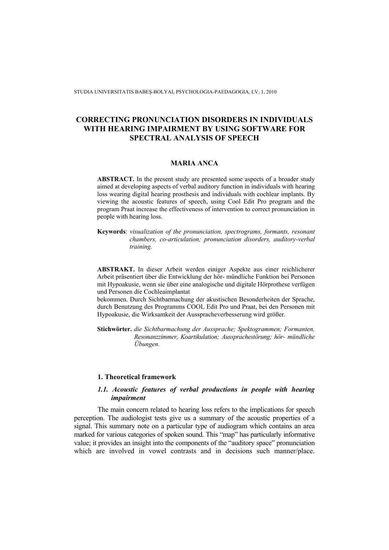STUDIA UNIVERSITATIS BABEŞ-BOLYAI, PSYCHOLOGIA-PAEDAGOGIA, LV, 1, 2010

# **CORRECTING PRONUNCIATION DISORDERS IN INDIVIDUALS WITH HEARING IMPAIRMENT BY USING SOFTWARE FOR SPECTRAL ANALYSIS OF SPEECH**

#### **MARIA ANCA**

**ABSTRACT.** In the present study are presented some aspects of a broader study aimed at developing aspects of verbal auditory function in individuals with hearing loss wearing digital hearing prosthesis and individuals with cochlear implants. By viewing the acoustic features of speech, using Cool Edit Pro program and the program Praat increase the effectiveness of intervention to correct pronunciation in people with hearing loss.

**Keywords**: *visualization of the pronunciation, spectrograms, formants, resonant chambers, co-articulation; pronunciation disorders, auditory-verbal training.* 

**ABSTRAKT.** In dieser Arbeit werden einiger Aspekte aus einer reichlicherer Arbeit präsentiert über die Entwicklung der hör- mündliche Funktion bei Personen mit Hypoakusie, wenn sie über eine analogische und digitale Hörprothese verfügen und Personen die Cochleaimplantat

bekommen. Durch Sichtbarmachung der akustischen Besonderheiten der Sprache, durch Benutzung des Programms COOL Edit Pro und Praat, bei den Personen mit Hypoakusie, die Wirksamkeit der Ausspracheverbesserung wird größer.

**Stichwörter.** *die Sichtbarmachung der Aussprache; Spektogrammen; Formanten, Resonanzzimmer, Koartikulation; Aussprachestörung; hör- mündliche Übungen.*

#### **1. Theoretical framework**

## *1.1. Acoustic features of verbal productions in people with hearing impairment*

The main concern related to hearing loss refers to the implications for speech perception. The audiologist tests give us a summary of the acoustic properties of a signal. This summary note on a particular type of audiogram which contains an area marked for various categories of spoken sound. This "map" has particularly informative value; it provides an insight into the components of the "auditory space" pronunciation which are involved in vowel contrasts and in decisions such manner/place.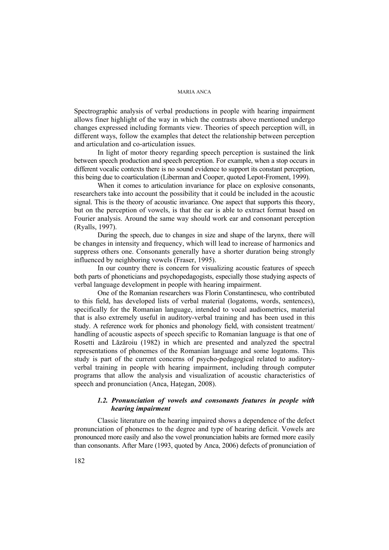Spectrographic analysis of verbal productions in people with hearing impairment allows finer highlight of the way in which the contrasts above mentioned undergo changes expressed including formants view. Theories of speech perception will, in different ways, follow the examples that detect the relationship between perception and articulation and co-articulation issues.

In light of motor theory regarding speech perception is sustained the link between speech production and speech perception. For example, when a stop occurs in different vocalic contexts there is no sound evidence to support its constant perception, this being due to coarticulation (Liberman and Cooper, quoted Lepot-Froment, 1999).

When it comes to articulation invariance for place on explosive consonants, researchers take into account the possibility that it could be included in the acoustic signal. This is the theory of acoustic invariance. One aspect that supports this theory, but on the perception of vowels, is that the ear is able to extract format based on Fourier analysis. Around the same way should work ear and consonant perception (Ryalls, 1997).

During the speech, due to changes in size and shape of the larynx, there will be changes in intensity and frequency, which will lead to increase of harmonics and suppress others one. Consonants generally have a shorter duration being strongly influenced by neighboring vowels (Fraser, 1995).

In our country there is concern for visualizing acoustic features of speech both parts of phoneticians and psychopedagogists, especially those studying aspects of verbal language development in people with hearing impairment.

One of the Romanian researchers was Florin Constantinescu, who contributed to this field, has developed lists of verbal material (logatoms, words, sentences), specifically for the Romanian language, intended to vocal audiometrics, material that is also extremely useful in auditory-verbal training and has been used in this study. A reference work for phonics and phonology field, with consistent treatment/ handling of acoustic aspects of speech specific to Romanian language is that one of Rosetti and Lăzăroiu (1982) in which are presented and analyzed the spectral representations of phonemes of the Romanian language and some logatoms. This study is part of the current concerns of psycho-pedagogical related to auditoryverbal training in people with hearing impairment, including through computer programs that allow the analysis and visualization of acoustic characteristics of speech and pronunciation (Anca, Hategan, 2008).

## *1.2. Pronunciation of vowels and consonants features in people with hearing impairment*

Classic literature on the hearing impaired shows a dependence of the defect pronunciation of phonemes to the degree and type of hearing deficit. Vowels are pronounced more easily and also the vowel pronunciation habits are formed more easily than consonants. After Mare (1993, quoted by Anca, 2006) defects of pronunciation of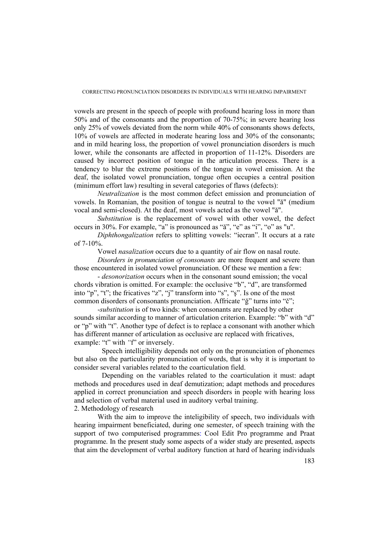CORRECTING PRONUNCIATION DISORDERS IN INDIVIDUALS WITH HEARING IMPAIRMENT

vowels are present in the speech of people with profound hearing loss in more than 50% and of the consonants and the proportion of 70-75%; in severe hearing loss only 25% of vowels deviated from the norm while 40% of consonants shows defects, 10% of vowels are affected in moderate hearing loss and 30% of the consonants; and in mild hearing loss, the proportion of vowel pronunciation disorders is much lower, while the consonants are affected in proportion of 11-12%. Disorders are caused by incorrect position of tongue in the articulation process. There is a tendency to blur the extreme positions of the tongue in vowel emission. At the deaf, the isolated vowel pronunciation, tongue often occupies a central position (minimum effort law) resulting in several categories of flaws (defects):

*Neutralization* is the most common defect emission and pronunciation of vowels. In Romanian, the position of tongue is neutral to the vowel "ă" (medium vocal and semi-closed). At the deaf, most vowels acted as the vowel "ă".

*Substitution* is the replacement of vowel with other vowel, the defect occurs in 30%. For example, "a" is pronounced as "ă", "e" as "i", "o" as "u".

*Diphthongalization* refers to splitting vowels: "iecran". It occurs at a rate of 7-10%.

Vowel *nasalization* occurs due to a quantity of air flow on nasal route.

*Disorders in pronunciation of consonants* are more frequent and severe than those encountered in isolated vowel pronunciation. Of these we mention a few:

- *desonorization* occurs when in the consonant sound emission; the vocal chords vibration is omitted. For example: the occlusive "b", "d", are transformed into "p", "t"; the fricatives "z", "j" transform into "s", "ş". Is one of the most common disorders of consonants pronunciation. Affricate "ğ" turns into "č";

 -*substitution* is of two kinds: when consonants are replaced by other sounds similar according to manner of articulation criterion. Example: "b" with "d" or "p" with "t". Another type of defect is to replace a consonant with another which has different manner of articulation as occlusive are replaced with fricatives, example: "t" with "f" or inversely.

Speech intelligibility depends not only on the pronunciation of phonemes but also on the particularity pronunciation of words, that is why it is important to consider several variables related to the coarticulation field.

Depending on the variables related to the coarticulation it must: adapt methods and procedures used in deaf demutization; adapt methods and procedures applied in correct pronunciation and speech disorders in people with hearing loss and selection of verbal material used in auditory verbal training.

2. Methodology of research

 With the aim to improve the inteligibility of speech, two individuals with hearing impairment beneficiated, during one semester, of speech training with the support of two computerised programmes: Cool Edit Pro programme and Praat programme. In the present study some aspects of a wider study are presented, aspects that aim the development of verbal auditory function at hard of hearing individuals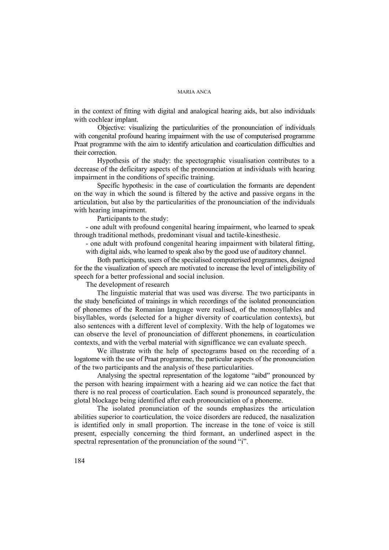in the context of fitting with digital and analogical hearing aids, but also individuals with cochlear implant.

 Objective: visualizing the particularities of the pronounciation of individuals with congenital profound hearing impairment with the use of computerised programme Praat programme with the aim to identify articulation and coarticulation difficulties and their correction.

Hypothesis of the study: the spectographic visualisation contributes to a decrease of the deficitary aspects of the pronounciation at individuals with hearing impairment in the conditions of specific training.

Specific hypothesis: in the case of coarticulation the formants are dependent on the way in which the sound is filtered by the active and passive organs in the articulation, but also by the particularities of the pronounciation of the individuals with hearing imapirment.

Participants to the study:

- one adult with profound congenital hearing impairment, who learned to speak through traditional methods, predominant visual and tactile-kinesthesic.

- one adult with profound congenital hearing impairment with bilateral fitting, with digital aids, who learned to speak also by the good use of auditory channel.

Both participants, users of the specialised computerised programmes, designed for the the visualization of speech are motivated to increase the level of inteligibility of speech for a better professional and social inclusion.

The development of research

The linguistic material that was used was diverse. The two participants in the study beneficiated of trainings in which recordings of the isolated pronounciation of phonemes of the Romanian language were realised, of the monosyllables and bisyllables, words (selected for a higher diversity of coarticulation contexts), but also sentences with a different level of complexity. With the help of logatomes we can observe the level of pronounciation of different phonemens, in coarticulation contexts, and with the verbal material with signifficance we can evaluate speech.

We illustrate with the help of spectograms based on the recording of a logatome with the use of Praat programme, the particular aspects of the pronounciation of the two participants and the analysis of these particularities.

Analysing the spectral representation of the logatome "aibd" pronounced by the person with hearing impairment with a hearing aid we can notice the fact that there is no real process of coarticulation. Each sound is pronounced separately, the glotal blockage being identified after each pronounciation of a phoneme.

The isolated pronunciation of the sounds emphasizes the articulation abilities superior to coarticulation, the voice disorders are reduced, the nasalization is identified only in small proportion. The increase in the tone of voice is still present, especially concerning the third formant, an underlined aspect in the spectral representation of the pronunciation of the sound "i".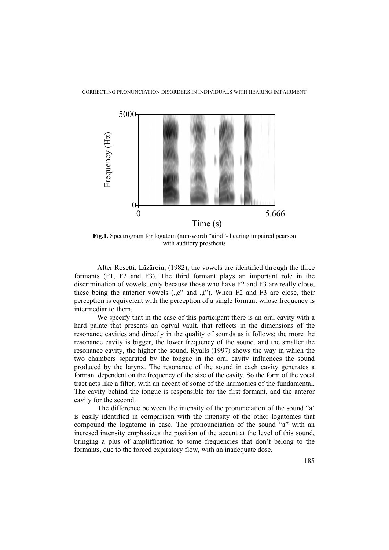CORRECTING PRONUNCIATION DISORDERS IN INDIVIDUALS WITH HEARING IMPAIRMENT



**Fig.1.** Spectrogram for logatom (non-word) "aibd"- hearing impaired pearson with auditory prosthesis

After Rosetti, Lăzăroiu, (1982), the vowels are identified through the three formants (F1, F2 and F3). The third formant plays an important role in the discrimination of vowels, only because those who have F2 and F3 are really close, these being the anterior vowels  $($ "e" and  $)$ <sub>"i</sub>"). When F2 and F3 are close, their perception is equivelent with the perception of a single formant whose frequency is intermediar to them.

We specify that in the case of this participant there is an oral cavity with a hard palate that presents an ogival vault, that reflects in the dimensions of the resonance cavities and directly in the quality of sounds as it follows: the more the resonance cavity is bigger, the lower frequency of the sound, and the smaller the resonance cavity, the higher the sound. Ryalls (1997) shows the way in which the two chambers separated by the tongue in the oral cavity influences the sound produced by the larynx. The resonance of the sound in each cavity generates a formant dependent on the frequency of the size of the cavity. So the form of the vocal tract acts like a filter, with an accent of some of the harmonics of the fundamental. The cavity behind the tongue is responsible for the first formant, and the anteror cavity for the second.

 The difference between the intensity of the pronunciation of the sound "a' is easily identified in comparison with the intensity of the other logatomes that compound the logatome in case. The pronounciation of the sound "a" with an incresed intensity emphasizes the position of the accent at the level of this sound, bringing a plus of ampliffication to some frequencies that don't belong to the formants, due to the forced expiratory flow, with an inadequate dose.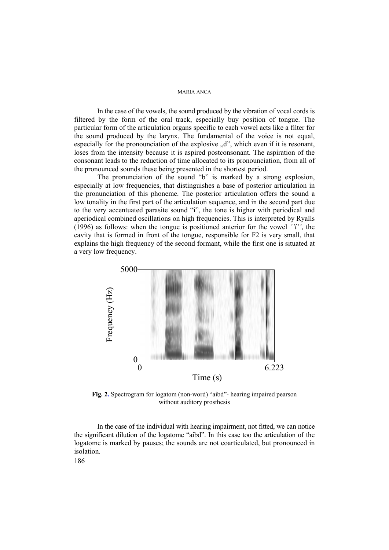In the case of the vowels, the sound produced by the vibration of vocal cords is filtered by the form of the oral track, especially buy position of tongue. The particular form of the articulation organs specific to each vowel acts like a filter for the sound produced by the larynx. The fundamental of the voice is not equal, especially for the pronounciation of the explosive  $\mathcal{A}$ , which even if it is resonant, loses from the intensity because it is aspired postconsonant. The aspiration of the consonant leads to the reduction of time allocated to its pronounciation, from all of the pronounced sounds these being presented in the shortest period.

 The pronunciation of the sound "b" is marked by a strong explosion, especially at low frequencies, that distinguishes a base of posterior articulation in the pronunciation of this phoneme. The posterior articulation offers the sound a low tonality in the first part of the articulation sequence, and in the second part due to the very accentuated parasite sound "î", the tone is higher with periodical and aperiodical combined oscillations on high frequencies. This is interpreted by Ryalls (1996) as follows: when the tongue is positioned anterior for the vowel *''î''*, the cavity that is formed in front of the tongue, responsible for F2 is very small, that explains the high frequency of the second formant, while the first one is situated at a very low frequency.



**Fig. 2.** Spectrogram for logatom (non-word) "aibd"- hearing impaired pearson without auditory prosthesis

In the case of the individual with hearing impairment, not fitted, we can notice the significant dilution of the logatome "aibd". In this case too the articulation of the logatome is marked by pauses; the sounds are not coarticulated, but pronounced in isolation.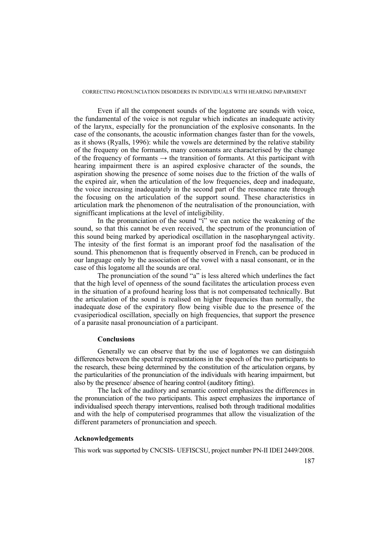#### CORRECTING PRONUNCIATION DISORDERS IN INDIVIDUALS WITH HEARING IMPAIRMENT

Even if all the component sounds of the logatome are sounds with voice, the fundamental of the voice is not regular which indicates an inadequate activity of the larynx, especially for the pronunciation of the explosive consonants. In the case of the consonants, the acoustic information changes faster than for the vowels, as it shows (Ryalls, 1996): while the vowels are determined by the relative stability of the frequeny on the formants, many consonants are characterised by the change of the frequency of formants  $\rightarrow$  the transition of formants. At this participant with hearing impairment there is an aspired explosive character of the sounds, the aspiration showing the presence of some noises due to the friction of the walls of the expired air, when the articulation of the low frequencies, deep and inadequate, the voice increasing inadequately in the second part of the resonance rate through the focusing on the articulation of the support sound. These characteristics in articulation mark the phenomenon of the neutralisation of the pronounciation, with signifficant implications at the level of inteligibility.

In the pronunciation of the sound "i" we can notice the weakening of the sound, so that this cannot be even received, the spectrum of the pronunciation of this sound being marked by aperiodical oscillation in the nasopharyngeal activity. The intesity of the first format is an imporant proof fod the nasalisation of the sound. This phenomenon that is frequently observed in French, can be produced in our language only by the association of the vowel with a nasal consonant, or in the case of this logatome all the sounds are oral.

The pronunciation of the sound "a" is less altered which underlines the fact that the high level of openness of the sound facilitates the articulation process even in the situation of a profound hearing loss that is not compensated technically. But the articulation of the sound is realised on higher frequencies than normally, the inadequate dose of the expiratory flow being visible due to the presence of the cvasiperiodical oscillation, specially on high frequencies, that support the presence of a parasite nasal pronounciation of a participant.

#### **Conclusions**

Generally we can observe that by the use of logatomes we can distinguish differences between the spectral representations in the speech of the two participants to the research, these being determined by the constitution of the articulation organs, by the particularities of the pronunciation of the individuals with hearing impairment, but also by the presence/ absence of hearing control (auditory fitting).

The lack of the auditory and semantic control emphasizes the differences in the pronunciation of the two participants. This aspect emphasizes the importance of individualised speech therapy interventions, realised both through traditional modalities and with the help of computerised programmes that allow the visualization of the different parameters of pronunciation and speech.

## **Acknowledgements**

This work was supported by CNCSIS- UEFISCSU, project number PN-II IDEI 2449/2008.